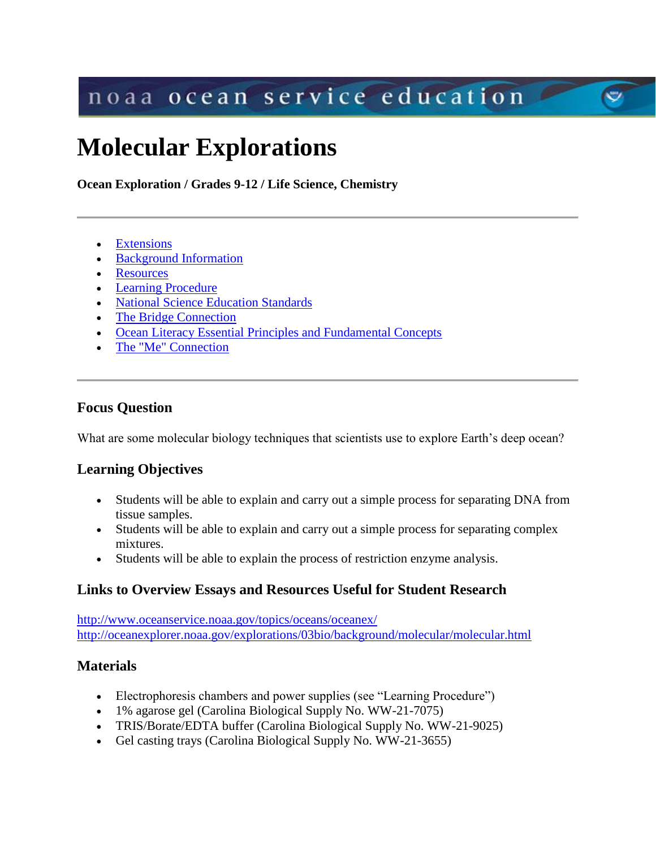# noaa ocean service education

 $\sim$ 

# **Molecular Explorations**

**Ocean Exploration / Grades 9-12 / Life Science, Chemistry** 

- [Extensions](http://oceanservice.noaa.gov/education/lessons/molecular_explorations.html#extensions)
- [Background Information](http://oceanservice.noaa.gov/education/lessons/molecular_explorations.html#background)
- [Resources](http://oceanservice.noaa.gov/education/lessons/molecular_explorations.html#resources)
- [Learning Procedure](http://oceanservice.noaa.gov/education/lessons/molecular_explorations.html#procedure)
- [National Science Education Standards](http://oceanservice.noaa.gov/education/lessons/molecular_explorations.html#standards)
- [The Bridge Connection](http://oceanservice.noaa.gov/education/lessons/molecular_explorations.html#bridge)
- [Ocean Literacy Essential Principles and Fundamental Concepts](http://oceanservice.noaa.gov/education/lessons/molecular_explorations.html#literacy)
- [The "Me" Connection](http://oceanservice.noaa.gov/education/lessons/molecular_explorations.html#me)

#### **Focus Question**

What are some molecular biology techniques that scientists use to explore Earth's deep ocean?

#### **Learning Objectives**

- Students will be able to explain and carry out a simple process for separating DNA from tissue samples.
- Students will be able to explain and carry out a simple process for separating complex mixtures.
- Students will be able to explain the process of restriction enzyme analysis.

### **Links to Overview Essays and Resources Useful for Student Research**

[http://www.oceanservice.noaa.gov/topics/oceans/oceanex/](http://oceanservice.noaa.gov/topics/oceans/oceanex/) <http://oceanexplorer.noaa.gov/explorations/03bio/background/molecular/molecular.html>

#### **Materials**

- Electrophoresis chambers and power supplies (see "Learning Procedure")
- 1% agarose gel (Carolina Biological Supply No. WW-21-7075)
- TRIS/Borate/EDTA buffer (Carolina Biological Supply No. WW-21-9025)
- Gel casting trays (Carolina Biological Supply No. WW-21-3655)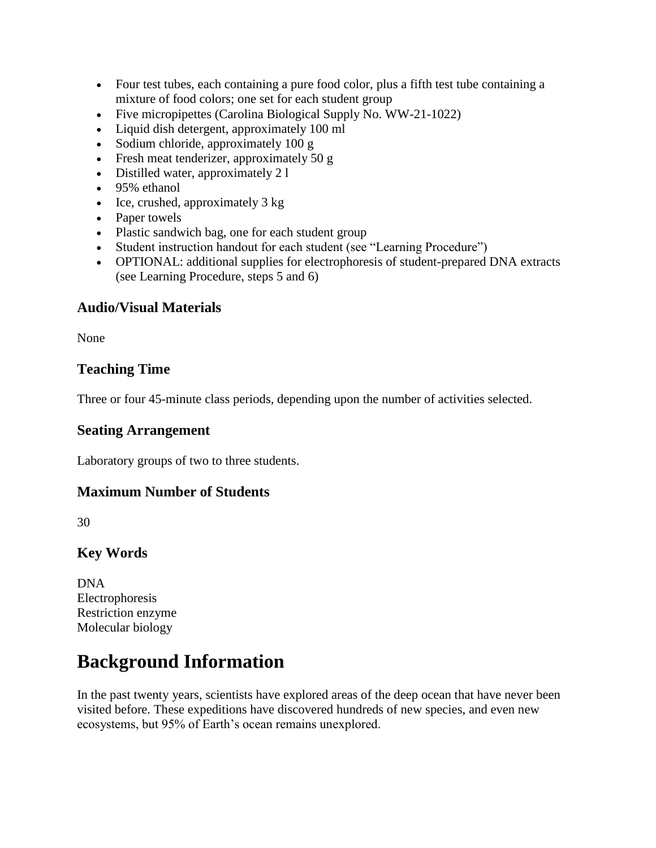- Four test tubes, each containing a pure food color, plus a fifth test tube containing a mixture of food colors; one set for each student group
- Five micropipettes (Carolina Biological Supply No. WW-21-1022)
- Liquid dish detergent, approximately 100 ml
- Sodium chloride, approximately 100 g
- Fresh meat tenderizer, approximately 50 g
- Distilled water, approximately 2 l
- 95% ethanol
- $\bullet$  Ice, crushed, approximately 3 kg
- Paper towels
- Plastic sandwich bag, one for each student group
- Student instruction handout for each student (see "Learning Procedure")
- OPTIONAL: additional supplies for electrophoresis of student-prepared DNA extracts (see Learning Procedure, steps 5 and 6)

#### **Audio/Visual Materials**

None

#### **Teaching Time**

Three or four 45-minute class periods, depending upon the number of activities selected.

#### **Seating Arrangement**

Laboratory groups of two to three students.

#### **Maximum Number of Students**

30

### **Key Words**

DNA Electrophoresis Restriction enzyme Molecular biology

# **Background Information**

In the past twenty years, scientists have explored areas of the deep ocean that have never been visited before. These expeditions have discovered hundreds of new species, and even new ecosystems, but 95% of Earth's ocean remains unexplored.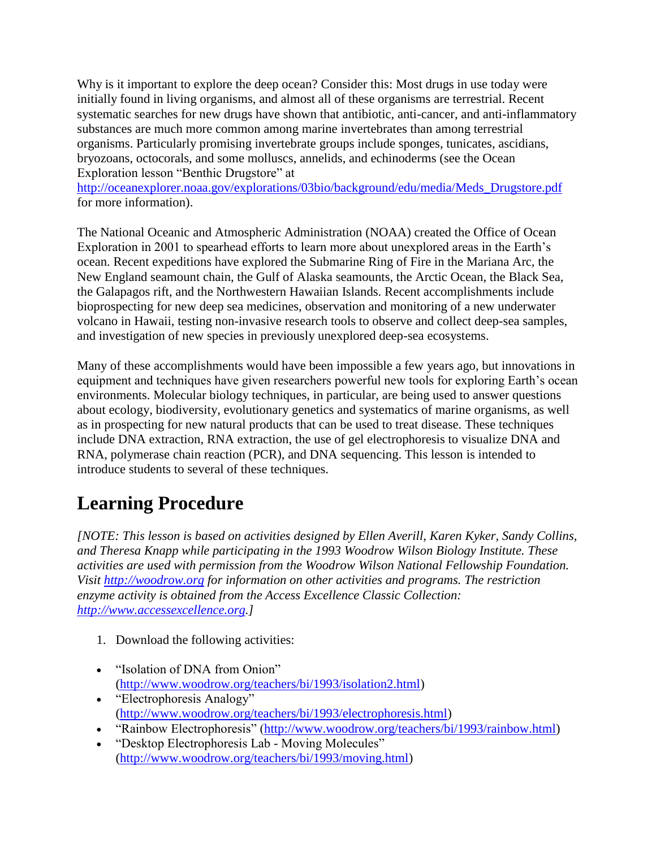Why is it important to explore the deep ocean? Consider this: Most drugs in use today were initially found in living organisms, and almost all of these organisms are terrestrial. Recent systematic searches for new drugs have shown that antibiotic, anti-cancer, and anti-inflammatory substances are much more common among marine invertebrates than among terrestrial organisms. Particularly promising invertebrate groups include sponges, tunicates, ascidians, bryozoans, octocorals, and some molluscs, annelids, and echinoderms (see the Ocean Exploration lesson "Benthic Drugstore" at

[http://oceanexplorer.noaa.gov/explorations/03bio/background/edu/media/Meds\\_Drugstore.pdf](http://oceanexplorer.noaa.gov/explorations/03bio/background/edu/media/Meds_Drugstore.pdf) for more information).

The National Oceanic and Atmospheric Administration (NOAA) created the Office of Ocean Exploration in 2001 to spearhead efforts to learn more about unexplored areas in the Earth's ocean. Recent expeditions have explored the Submarine Ring of Fire in the Mariana Arc, the New England seamount chain, the Gulf of Alaska seamounts, the Arctic Ocean, the Black Sea, the Galapagos rift, and the Northwestern Hawaiian Islands. Recent accomplishments include bioprospecting for new deep sea medicines, observation and monitoring of a new underwater volcano in Hawaii, testing non-invasive research tools to observe and collect deep-sea samples, and investigation of new species in previously unexplored deep-sea ecosystems.

Many of these accomplishments would have been impossible a few years ago, but innovations in equipment and techniques have given researchers powerful new tools for exploring Earth's ocean environments. Molecular biology techniques, in particular, are being used to answer questions about ecology, biodiversity, evolutionary genetics and systematics of marine organisms, as well as in prospecting for new natural products that can be used to treat disease. These techniques include DNA extraction, RNA extraction, the use of gel electrophoresis to visualize DNA and RNA, polymerase chain reaction (PCR), and DNA sequencing. This lesson is intended to introduce students to several of these techniques.

# **Learning Procedure**

*[NOTE: This lesson is based on activities designed by Ellen Averill, Karen Kyker, Sandy Collins, and Theresa Knapp while participating in the 1993 Woodrow Wilson Biology Institute. These activities are used with permission from the Woodrow Wilson National Fellowship Foundation. Visit [http://woodrow.org](http://oceanservice.noaa.gov/exit.php?url=http%3A%2F%2Fwoodrow.org%2F) for information on other activities and programs. The restriction enzyme activity is obtained from the Access Excellence Classic Collection: [http://www.accessexcellence.org.](http://oceanservice.noaa.gov/exit.php?url=http%3A%2F%2Fwww.accessexcellence.org%2F)]*

- 1. Download the following activities:
- "Isolation of DNA from Onion" [\(http://www.woodrow.org/teachers/bi/1993/isolation2.html\)](http://oceanservice.noaa.gov/exit.php?url=http%3A%2F%2Fwww.woodrow.org%2Fteachers%2Fbi%2F1993%2Fisolation2.html)
- "Electrophoresis Analogy" [\(http://www.woodrow.org/teachers/bi/1993/electrophoresis.html\)](http://oceanservice.noaa.gov/exit.php?url=http%3A%2F%2Fwww.woodrow.org%2Fteachers%2Fbi%2F1993%2Felectrophoresis.html)
- "Rainbow Electrophoresis" [\(http://www.woodrow.org/teachers/bi/1993/rainbow.html\)](http://oceanservice.noaa.gov/exit.php?url=http%3A%2F%2Fwww.woodrow.org%2Fteachers%2Fbi%2F1993%2Frainbow.html)
- "Desktop Electrophoresis Lab Moving Molecules" [\(http://www.woodrow.org/teachers/bi/1993/moving.html\)](http://oceanservice.noaa.gov/exit.php?url=http%3A%2F%2Fwww.woodrow.org%2Fteachers%2Fbi%2F1993%2Fmoving.html)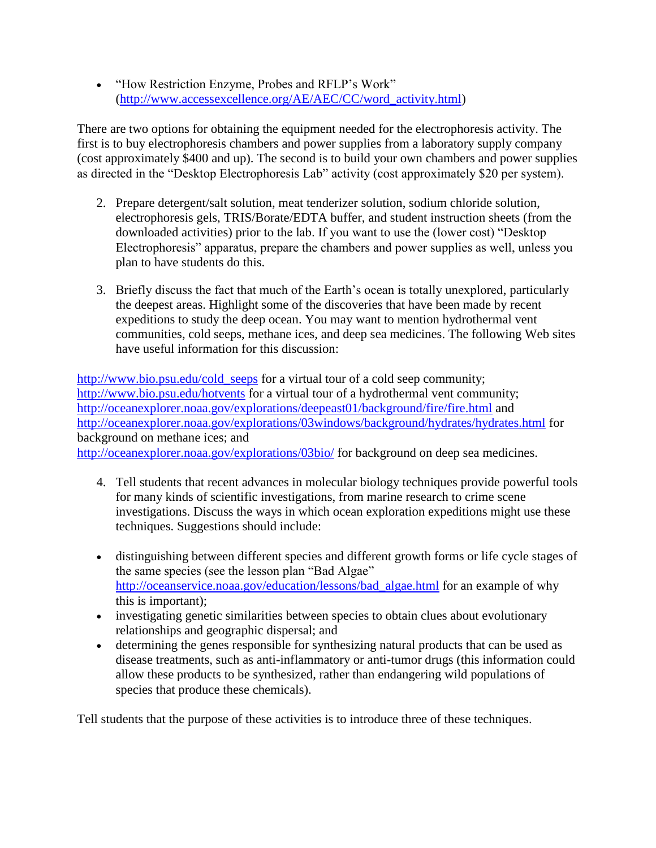"How Restriction Enzyme, Probes and RFLP's Work" [\(http://www.accessexcellence.org/AE/AEC/CC/word\\_activity.html\)](http://oceanservice.noaa.gov/exit.php?url=http%3A%2F%2Fwww.accessexcellence.org%2FAE%2FAEC%2FCC%2Fword_activity.html)

There are two options for obtaining the equipment needed for the electrophoresis activity. The first is to buy electrophoresis chambers and power supplies from a laboratory supply company (cost approximately \$400 and up). The second is to build your own chambers and power supplies as directed in the "Desktop Electrophoresis Lab" activity (cost approximately \$20 per system).

- 2. Prepare detergent/salt solution, meat tenderizer solution, sodium chloride solution, electrophoresis gels, TRIS/Borate/EDTA buffer, and student instruction sheets (from the downloaded activities) prior to the lab. If you want to use the (lower cost) "Desktop Electrophoresis" apparatus, prepare the chambers and power supplies as well, unless you plan to have students do this.
- 3. Briefly discuss the fact that much of the Earth's ocean is totally unexplored, particularly the deepest areas. Highlight some of the discoveries that have been made by recent expeditions to study the deep ocean. You may want to mention hydrothermal vent communities, cold seeps, methane ices, and deep sea medicines. The following Web sites have useful information for this discussion:

[http://www.bio.psu.edu/cold\\_seeps](http://oceanservice.noaa.gov/exit.php?url=http%3A%2F%2Fwww.bio.psu.edu%2Fcold_seeps) for a virtual tour of a cold seep community; [http://www.bio.psu.edu/hotvents](http://oceanservice.noaa.gov/exit.php?url=http%3A%2F%2Fwww.bio.psu.edu%2Fhotvents) for a virtual tour of a hydrothermal vent community; <http://oceanexplorer.noaa.gov/explorations/deepeast01/background/fire/fire.html> and <http://oceanexplorer.noaa.gov/explorations/03windows/background/hydrates/hydrates.html> for background on methane ices; and <http://oceanexplorer.noaa.gov/explorations/03bio/> for background on deep sea medicines.

- 4. Tell students that recent advances in molecular biology techniques provide powerful tools for many kinds of scientific investigations, from marine research to crime scene investigations. Discuss the ways in which ocean exploration expeditions might use these techniques. Suggestions should include:
- distinguishing between different species and different growth forms or life cycle stages of the same species (see the lesson plan "Bad Algae" [http://oceanservice.noaa.gov/education/lessons/bad\\_algae.html](http://oceanservice.noaa.gov/education/lessons/bad_algae.html) for an example of why this is important);
- investigating genetic similarities between species to obtain clues about evolutionary relationships and geographic dispersal; and
- determining the genes responsible for synthesizing natural products that can be used as disease treatments, such as anti-inflammatory or anti-tumor drugs (this information could allow these products to be synthesized, rather than endangering wild populations of species that produce these chemicals).

Tell students that the purpose of these activities is to introduce three of these techniques.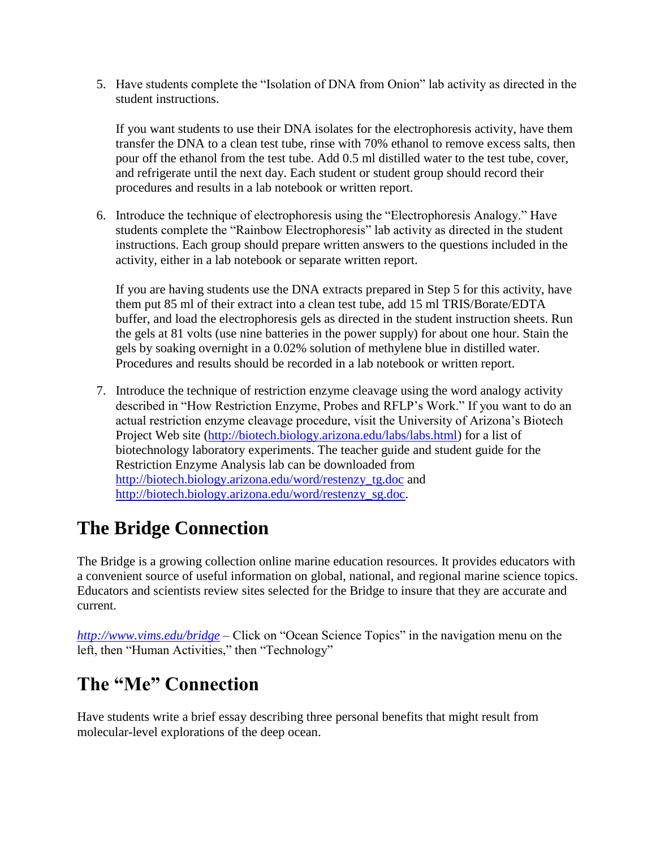5. Have students complete the "Isolation of DNA from Onion" lab activity as directed in the student instructions.

If you want students to use their DNA isolates for the electrophoresis activity, have them transfer the DNA to a clean test tube, rinse with 70% ethanol to remove excess salts, then pour off the ethanol from the test tube. Add 0.5 ml distilled water to the test tube, cover, and refrigerate until the next day. Each student or student group should record their procedures and results in a lab notebook or written report.

6. Introduce the technique of electrophoresis using the "Electrophoresis Analogy." Have students complete the "Rainbow Electrophoresis" lab activity as directed in the student instructions. Each group should prepare written answers to the questions included in the activity, either in a lab notebook or separate written report.

If you are having students use the DNA extracts prepared in Step 5 for this activity, have them put 85 ml of their extract into a clean test tube, add 15 ml TRIS/Borate/EDTA buffer, and load the electrophoresis gels as directed in the student instruction sheets. Run the gels at 81 volts (use nine batteries in the power supply) for about one hour. Stain the gels by soaking overnight in a 0.02% solution of methylene blue in distilled water. Procedures and results should be recorded in a lab notebook or written report.

7. Introduce the technique of restriction enzyme cleavage using the word analogy activity described in "How Restriction Enzyme, Probes and RFLP's Work." If you want to do an actual restriction enzyme cleavage procedure, visit the University of Arizona's Biotech Project Web site [\(http://biotech.biology.arizona.edu/labs/labs.html\)](http://oceanservice.noaa.gov/exit.php?url=http%3A%2F%2Fbiotech.biology.arizona.edu%2Flabs%2Flabs.html) for a list of biotechnology laboratory experiments. The teacher guide and student guide for the Restriction Enzyme Analysis lab can be downloaded from [http://biotech.biology.arizona.edu/word/restenzy\\_tg.doc](http://oceanservice.noaa.gov/exit.php?url=http%3A%2F%2Fbiotech.biology.arizona.edu%2Fword%2Frestenzy_tg.doc) and [http://biotech.biology.arizona.edu/word/restenzy\\_sg.doc.](http://oceanservice.noaa.gov/exit.php?url=http%3A%2F%2Fbiotech.biology.arizona.edu%2Fword%2Frestenzy_sg.doc)

# **The Bridge Connection**

The Bridge is a growing collection online marine education resources. It provides educators with a convenient source of useful information on global, national, and regional marine science topics. Educators and scientists review sites selected for the Bridge to insure that they are accurate and current.

*[http://www.vims.edu/bridge](http://oceanservice.noaa.gov/exit.php?url=http%3A%2F%2Fwww.vims.edu%2Fbridge)* – Click on "Ocean Science Topics" in the navigation menu on the left, then "Human Activities," then "Technology"

# **The "Me" Connection**

Have students write a brief essay describing three personal benefits that might result from molecular-level explorations of the deep ocean.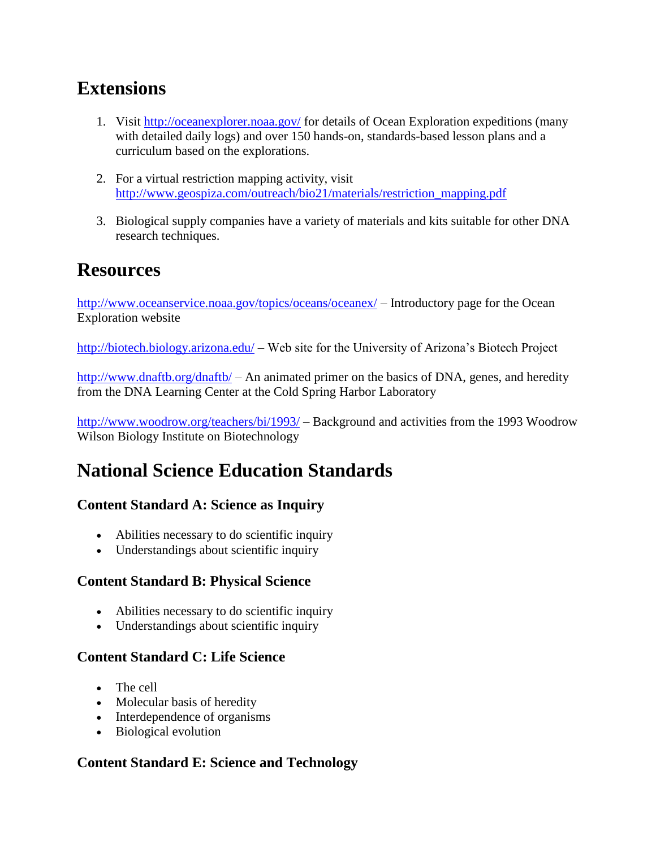# **Extensions**

- 1. Visit<http://oceanexplorer.noaa.gov/> for details of Ocean Exploration expeditions (many with detailed daily logs) and over 150 hands-on, standards-based lesson plans and a curriculum based on the explorations.
- 2. For a virtual restriction mapping activity, visit [http://www.geospiza.com/outreach/bio21/materials/restriction\\_mapping.pdf](http://oceanservice.noaa.gov/exit.php?url=http%3A%2F%2Fwww.geospiza.com%2Foutreach%2Fbio21%2Fmaterials%2Frestriction_mapping.pdf)
- 3. Biological supply companies have a variety of materials and kits suitable for other DNA research techniques.

# **Resources**

[http://www.oceanservice.noaa.gov/topics/oceans/oceanex/](http://oceanservice.noaa.gov/topics/oceans/oceanex/) – Introductory page for the Ocean Exploration website

[http://biotech.biology.arizona.edu/](http://oceanservice.noaa.gov/exit.php?url=http%3A%2F%2Fbiotech.biology.arizona.edu%2F) – Web site for the University of Arizona's Biotech Project

[http://www.dnaftb.org/dnaftb/](http://oceanservice.noaa.gov/exit.php?url=http%3A%2F%2Fwww.dnaftb.org%2Fdnaftb%2F) – An animated primer on the basics of DNA, genes, and heredity from the DNA Learning Center at the Cold Spring Harbor Laboratory

[http://www.woodrow.org/teachers/bi/1993/](http://oceanservice.noaa.gov/exit.php?url=http%3A%2F%2Fwww.woodrow.org%2Fteachers%2Fbi%2F1993%2F) – Background and activities from the 1993 Woodrow Wilson Biology Institute on Biotechnology

# **National Science Education Standards**

## **Content Standard A: Science as Inquiry**

- Abilities necessary to do scientific inquiry
- Understandings about scientific inquiry

### **Content Standard B: Physical Science**

- Abilities necessary to do scientific inquiry
- Understandings about scientific inquiry

### **Content Standard C: Life Science**

- The cell
- Molecular basis of heredity
- Interdependence of organisms
- Biological evolution

## **Content Standard E: Science and Technology**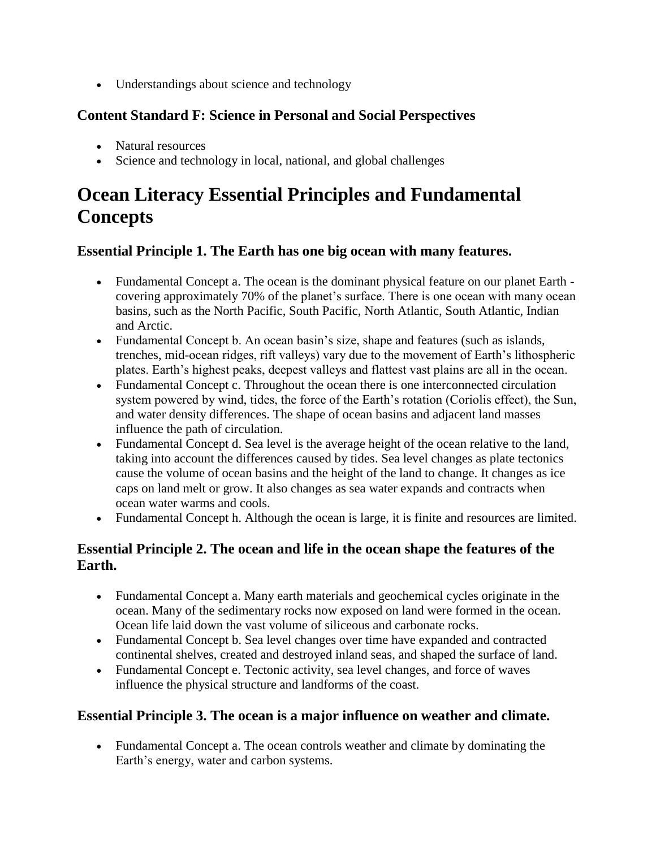• Understandings about science and technology

# **Content Standard F: Science in Personal and Social Perspectives**

- Natural resources
- Science and technology in local, national, and global challenges

# **Ocean Literacy Essential Principles and Fundamental Concepts**

## **Essential Principle 1. The Earth has one big ocean with many features.**

- Fundamental Concept a. The ocean is the dominant physical feature on our planet Earth covering approximately 70% of the planet's surface. There is one ocean with many ocean basins, such as the North Pacific, South Pacific, North Atlantic, South Atlantic, Indian and Arctic.
- Fundamental Concept b. An ocean basin's size, shape and features (such as islands, trenches, mid-ocean ridges, rift valleys) vary due to the movement of Earth's lithospheric plates. Earth's highest peaks, deepest valleys and flattest vast plains are all in the ocean.
- Fundamental Concept c. Throughout the ocean there is one interconnected circulation system powered by wind, tides, the force of the Earth's rotation (Coriolis effect), the Sun, and water density differences. The shape of ocean basins and adjacent land masses influence the path of circulation.
- Fundamental Concept d. Sea level is the average height of the ocean relative to the land, taking into account the differences caused by tides. Sea level changes as plate tectonics cause the volume of ocean basins and the height of the land to change. It changes as ice caps on land melt or grow. It also changes as sea water expands and contracts when ocean water warms and cools.
- Fundamental Concept h. Although the ocean is large, it is finite and resources are limited.

## **Essential Principle 2. The ocean and life in the ocean shape the features of the Earth.**

- Fundamental Concept a. Many earth materials and geochemical cycles originate in the ocean. Many of the sedimentary rocks now exposed on land were formed in the ocean. Ocean life laid down the vast volume of siliceous and carbonate rocks.
- Fundamental Concept b. Sea level changes over time have expanded and contracted continental shelves, created and destroyed inland seas, and shaped the surface of land.
- Fundamental Concept e. Tectonic activity, sea level changes, and force of waves influence the physical structure and landforms of the coast.

## **Essential Principle 3. The ocean is a major influence on weather and climate.**

 Fundamental Concept a. The ocean controls weather and climate by dominating the Earth's energy, water and carbon systems.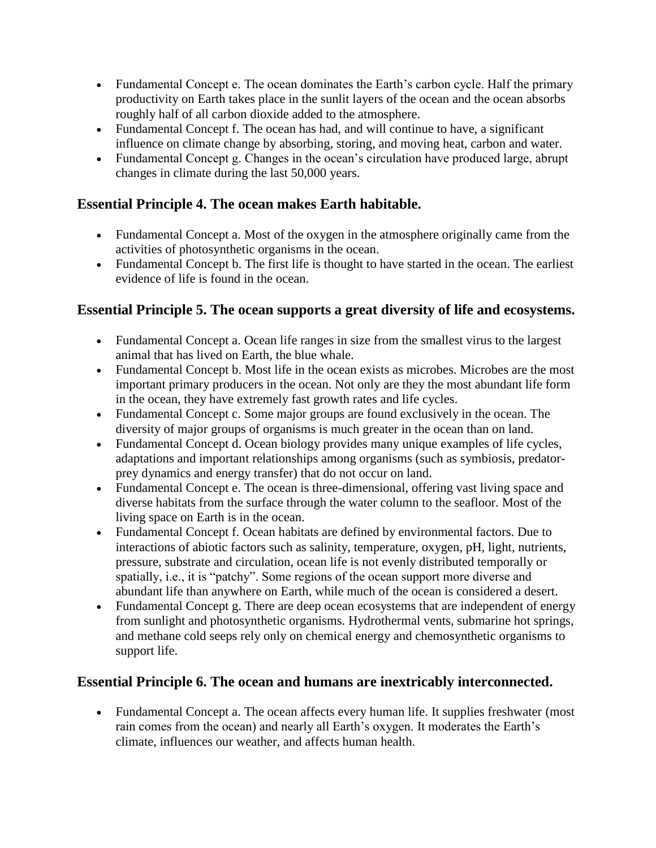- Fundamental Concept e. The ocean dominates the Earth's carbon cycle. Half the primary productivity on Earth takes place in the sunlit layers of the ocean and the ocean absorbs roughly half of all carbon dioxide added to the atmosphere.
- Fundamental Concept f. The ocean has had, and will continue to have, a significant influence on climate change by absorbing, storing, and moving heat, carbon and water.
- Fundamental Concept g. Changes in the ocean's circulation have produced large, abrupt changes in climate during the last 50,000 years.

## **Essential Principle 4. The ocean makes Earth habitable.**

- Fundamental Concept a. Most of the oxygen in the atmosphere originally came from the activities of photosynthetic organisms in the ocean.
- Fundamental Concept b. The first life is thought to have started in the ocean. The earliest evidence of life is found in the ocean.

## **Essential Principle 5. The ocean supports a great diversity of life and ecosystems.**

- Fundamental Concept a. Ocean life ranges in size from the smallest virus to the largest animal that has lived on Earth, the blue whale.
- Fundamental Concept b. Most life in the ocean exists as microbes. Microbes are the most important primary producers in the ocean. Not only are they the most abundant life form in the ocean, they have extremely fast growth rates and life cycles.
- Fundamental Concept c. Some major groups are found exclusively in the ocean. The diversity of major groups of organisms is much greater in the ocean than on land.
- Fundamental Concept d. Ocean biology provides many unique examples of life cycles, adaptations and important relationships among organisms (such as symbiosis, predatorprey dynamics and energy transfer) that do not occur on land.
- Fundamental Concept e. The ocean is three-dimensional, offering vast living space and diverse habitats from the surface through the water column to the seafloor. Most of the living space on Earth is in the ocean.
- Fundamental Concept f. Ocean habitats are defined by environmental factors. Due to interactions of abiotic factors such as salinity, temperature, oxygen, pH, light, nutrients, pressure, substrate and circulation, ocean life is not evenly distributed temporally or spatially, i.e., it is "patchy". Some regions of the ocean support more diverse and abundant life than anywhere on Earth, while much of the ocean is considered a desert.
- Fundamental Concept g. There are deep ocean ecosystems that are independent of energy from sunlight and photosynthetic organisms. Hydrothermal vents, submarine hot springs, and methane cold seeps rely only on chemical energy and chemosynthetic organisms to support life.

## **Essential Principle 6. The ocean and humans are inextricably interconnected.**

• Fundamental Concept a. The ocean affects every human life. It supplies freshwater (most rain comes from the ocean) and nearly all Earth's oxygen. It moderates the Earth's climate, influences our weather, and affects human health.